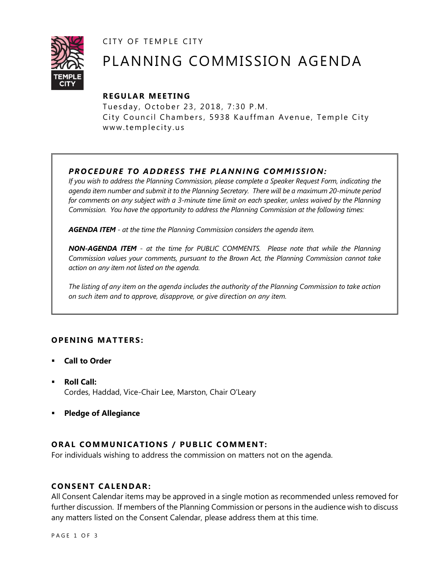CITY OF TEMPLE CITY



# PLANNING COMMISSION AGENDA

## **R EGULA R MEE TING**

Tuesday, October 23, 2018, 7:30 P.M. City Council Chambers, 5938 Kauffman Avenue, Temple City www.templecity.us

# *PRO CE DURE TO ADDRE SS THE P LA NNI NG COMM I SSION:*

*If you wish to address the Planning Commission, please complete a Speaker Request Form, indicating the agenda item number and submit it to the Planning Secretary. There will be a maximum 20-minute period*  for comments on any subject with a 3-minute time limit on each speaker, unless waived by the Planning *Commission. You have the opportunity to address the Planning Commission at the following times:*

*AGENDA ITEM - at the time the Planning Commission considers the agenda item.*

*NON-AGENDA ITEM - at the time for PUBLIC COMMENTS. Please note that while the Planning Commission values your comments, pursuant to the Brown Act, the Planning Commission cannot take action on any item not listed on the agenda.*

*The listing of any item on the agenda includes the authority of the Planning Commission to take action on such item and to approve, disapprove, or give direction on any item.*

## **OPENING MATTERS:**

- **Call to Order**
- **Roll Call:** Cordes, Haddad, Vice-Chair Lee, Marston, Chair O'Leary
- **Pledge of Allegiance**

## **ORAL COMMUNICATIONS / PUBLIC COMMENT:**

For individuals wishing to address the commission on matters not on the agenda.

#### **CONSENT CA LENDAR:**

All Consent Calendar items may be approved in a single motion as recommended unless removed for further discussion. If members of the Planning Commission or persons in the audience wish to discuss any matters listed on the Consent Calendar, please address them at this time.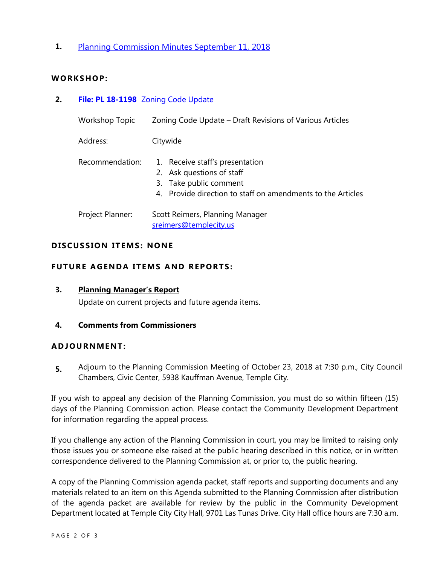**1.** [Planning Commission Minutes September 11, 2018](http://www.ci.temple-city.ca.us/DocumentCenter/View/11093/PCM-0911)

#### **WORKS HOP:**

**2. File: PL 18-1198** [Zoning Code Update](http://www.ci.temple-city.ca.us/DocumentCenter/View/11094/PL-18-1198)

| <b>Workshop Topic</b> | Zoning Code Update - Draft Revisions of Various Articles                                                                                              |
|-----------------------|-------------------------------------------------------------------------------------------------------------------------------------------------------|
| Address:              | Citywide                                                                                                                                              |
| Recommendation:       | 1. Receive staff's presentation<br>2. Ask questions of staff<br>3. Take public comment<br>4. Provide direction to staff on amendments to the Articles |
| Project Planner:      | Scott Reimers, Planning Manager<br>sreimers@templecity.us                                                                                             |

#### **D ISCUSSION ITEMS : NONE**

#### **FUTURE AGENDA ITEMS AND REPORTS:**

**3. Planning Manager's Report** Update on current projects and future agenda items.

#### **4. Comments from Commissioners**

#### **ADJOU RNMENT:**

**5.** Adjourn to the Planning Commission Meeting of October 23, 2018 at 7:30 p.m., City Council Chambers, Civic Center, 5938 Kauffman Avenue, Temple City.

If you wish to appeal any decision of the Planning Commission, you must do so within fifteen (15) days of the Planning Commission action. Please contact the Community Development Department for information regarding the appeal process.

If you challenge any action of the Planning Commission in court, you may be limited to raising only those issues you or someone else raised at the public hearing described in this notice, or in written correspondence delivered to the Planning Commission at, or prior to, the public hearing.

A copy of the Planning Commission agenda packet, staff reports and supporting documents and any materials related to an item on this Agenda submitted to the Planning Commission after distribution of the agenda packet are available for review by the public in the Community Development Department located at Temple City City Hall, 9701 Las Tunas Drive. City Hall office hours are 7:30 a.m.